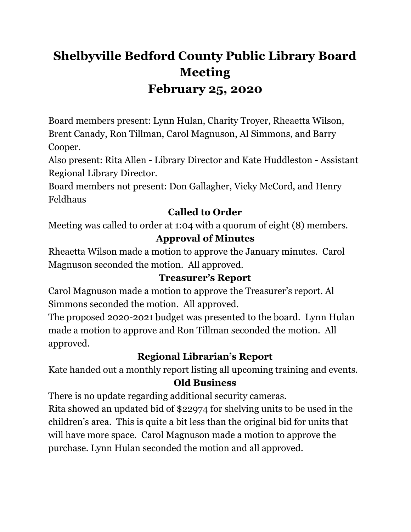# **Shelbyville Bedford County Public Library Board Meeting February 25, 2020**

Board members present: Lynn Hulan, Charity Troyer, Rheaetta Wilson, Brent Canady, Ron Tillman, Carol Magnuson, Al Simmons, and Barry Cooper.

Also present: Rita Allen - Library Director and Kate Huddleston - Assistant Regional Library Director.

Board members not present: Don Gallagher, Vicky McCord, and Henry Feldhaus

## **Called to Order**

Meeting was called to order at 1:04 with a quorum of eight (8) members.

### **Approval of Minutes**

Rheaetta Wilson made a motion to approve the January minutes. Carol Magnuson seconded the motion. All approved.

### **Treasurer's Report**

Carol Magnuson made a motion to approve the Treasurer's report. Al Simmons seconded the motion. All approved.

The proposed 2020-2021 budget was presented to the board. Lynn Hulan made a motion to approve and Ron Tillman seconded the motion. All approved.

# **Regional Librarian's Report**

Kate handed out a monthly report listing all upcoming training and events.

### **Old Business**

There is no update regarding additional security cameras.

Rita showed an updated bid of \$22974 for shelving units to be used in the children's area. This is quite a bit less than the original bid for units that will have more space. Carol Magnuson made a motion to approve the purchase. Lynn Hulan seconded the motion and all approved.